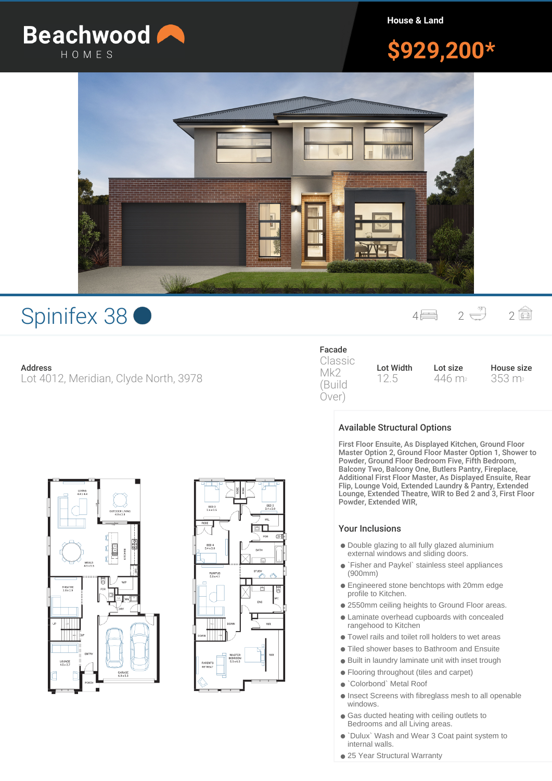

**House & Land**

# **\$929,200\***



## Spinifex 38 <sup>4</sup> <sup>2</sup> <sup>2</sup>

## **Address**

Lot 4012, Meridian, Clyde North, 3978

#### **Facade** Classic

Mk2 (Build Over)

**Lot Width** 12.5 **Lot size** 446 m<sup>2</sup> **House size** 353 m<sup>2</sup>





## **Available Structural Options**

First Floor Ensuite, As Displayed Kitchen, Ground Floor Master Option 2, Ground Floor Master Option 1, Shower to Powder, Ground Floor Bedroom Five, Fifth Bedroom, Balcony Two, Balcony One, Butlers Pantry, Fireplace, Additional First Floor Master, As Displayed Ensuite, Rear Flip, Lounge Void, Extended Laundry & Pantry, Extended Lounge, Extended Theatre, WIR to Bed 2 and 3, First Floor Powder, Extended WIR,

### Your Inclusions

- Double glazing to all fully glazed aluminium external windows and sliding doors.
- `Fisher and Paykel` stainless steel appliances (900mm)
- Engineered stone benchtops with 20mm edge profile to Kitchen.
- 2550mm ceiling heights to Ground Floor areas.
- Laminate overhead cupboards with concealed rangehood to Kitchen
- Towel rails and toilet roll holders to wet areas
- Tiled shower bases to Bathroom and Ensuite
- Built in laundry laminate unit with inset trough
- Flooring throughout (tiles and carpet)
- `Colorbond` Metal Roof
- Insect Screens with fibreglass mesh to all openable windows.
- Gas ducted heating with ceiling outlets to Bedrooms and all Living areas.
- `Dulux` Wash and Wear 3 Coat paint system to internal walls.
- 25 Year Structural Warranty